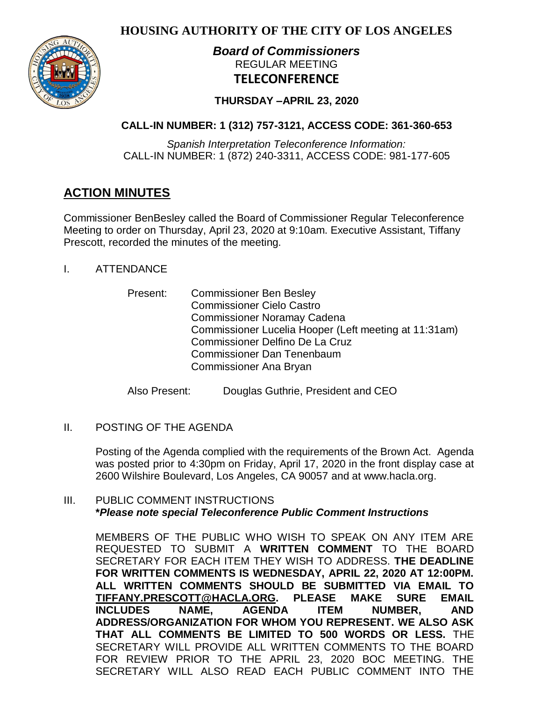**HOUSING AUTHORITY OF THE CITY OF LOS ANGELES**



# *Board of Commissioners* REGULAR MEETING **TELECONFERENCE**

# **THURSDAY –APRIL 23, 2020**

# **CALL-IN NUMBER: 1 (312) 757-3121, ACCESS CODE: 361-360-653**

*Spanish Interpretation Teleconference Information:* CALL-IN NUMBER: 1 (872) 240-3311, ACCESS CODE: 981-177-605

# **ACTION MINUTES**

Commissioner BenBesley called the Board of Commissioner Regular Teleconference Meeting to order on Thursday, April 23, 2020 at 9:10am. Executive Assistant, Tiffany Prescott, recorded the minutes of the meeting.

- I. ATTENDANCE
	- Present: Commissioner Ben Besley Commissioner Cielo Castro Commissioner Noramay Cadena Commissioner Lucelia Hooper (Left meeting at 11:31am) Commissioner Delfino De La Cruz Commissioner Dan Tenenbaum Commissioner Ana Bryan

Also Present: Douglas Guthrie, President and CEO

II. POSTING OF THE AGENDA

Posting of the Agenda complied with the requirements of the Brown Act. Agenda was posted prior to 4:30pm on Friday, April 17, 2020 in the front display case at 2600 Wilshire Boulevard, Los Angeles, CA 90057 and at [www.hacla.org.](http://www.hacla.org/)

# III. PUBLIC COMMENT INSTRUCTIONS **\****Please note special Teleconference Public Comment Instructions*

MEMBERS OF THE PUBLIC WHO WISH TO SPEAK ON ANY ITEM ARE REQUESTED TO SUBMIT A **WRITTEN COMMENT** TO THE BOARD SECRETARY FOR EACH ITEM THEY WISH TO ADDRESS. **THE DEADLINE FOR WRITTEN COMMENTS IS WEDNESDAY, APRIL 22, 2020 AT 12:00PM. ALL WRITTEN COMMENTS SHOULD BE SUBMITTED VIA EMAIL TO [TIFFANY.PRESCOTT@HACLA.ORG.](mailto:TIFFANY.PRESCOTT@HACLA.ORG) PLEASE MAKE SURE EMAIL INCLUDES NAME, AGENDA ITEM NUMBER, AND ADDRESS/ORGANIZATION FOR WHOM YOU REPRESENT. WE ALSO ASK THAT ALL COMMENTS BE LIMITED TO 500 WORDS OR LESS.** THE SECRETARY WILL PROVIDE ALL WRITTEN COMMENTS TO THE BOARD FOR REVIEW PRIOR TO THE APRIL 23, 2020 BOC MEETING. THE SECRETARY WILL ALSO READ EACH PUBLIC COMMENT INTO THE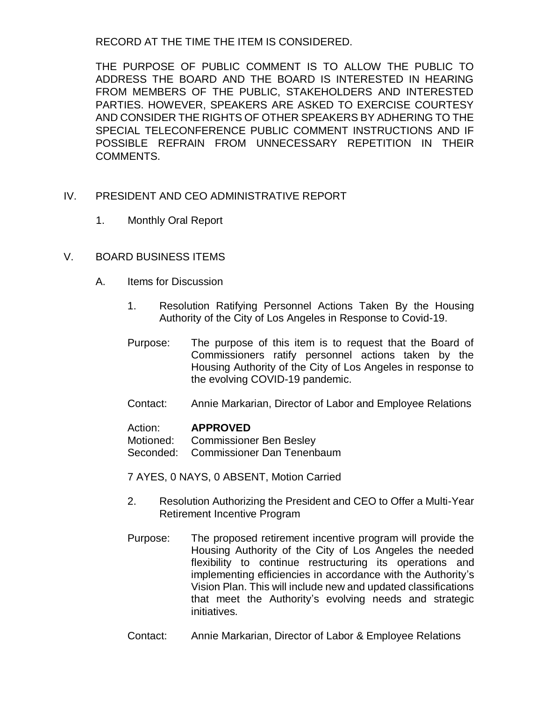RECORD AT THE TIME THE ITEM IS CONSIDERED.

THE PURPOSE OF PUBLIC COMMENT IS TO ALLOW THE PUBLIC TO ADDRESS THE BOARD AND THE BOARD IS INTERESTED IN HEARING FROM MEMBERS OF THE PUBLIC, STAKEHOLDERS AND INTERESTED PARTIES. HOWEVER, SPEAKERS ARE ASKED TO EXERCISE COURTESY AND CONSIDER THE RIGHTS OF OTHER SPEAKERS BY ADHERING TO THE SPECIAL TELECONFERENCE PUBLIC COMMENT INSTRUCTIONS AND IF POSSIBLE REFRAIN FROM UNNECESSARY REPETITION IN THEIR COMMENTS.

# IV. PRESIDENT AND CEO ADMINISTRATIVE REPORT

1. Monthly Oral Report

# V. BOARD BUSINESS ITEMS

- A. Items for Discussion
	- 1. Resolution Ratifying Personnel Actions Taken By the Housing Authority of the City of Los Angeles in Response to Covid-19.
	- Purpose: The purpose of this item is to request that the Board of Commissioners ratify personnel actions taken by the Housing Authority of the City of Los Angeles in response to the evolving COVID-19 pandemic.
	- Contact: Annie Markarian, Director of Labor and Employee Relations

#### Action: **APPROVED**

Motioned: Commissioner Ben Besley

Seconded: Commissioner Dan Tenenbaum

7 AYES, 0 NAYS, 0 ABSENT, Motion Carried

- 2. Resolution Authorizing the President and CEO to Offer a Multi-Year Retirement Incentive Program
- Purpose: The proposed retirement incentive program will provide the Housing Authority of the City of Los Angeles the needed flexibility to continue restructuring its operations and implementing efficiencies in accordance with the Authority's Vision Plan. This will include new and updated classifications that meet the Authority's evolving needs and strategic initiatives.
- Contact: Annie Markarian, Director of Labor & Employee Relations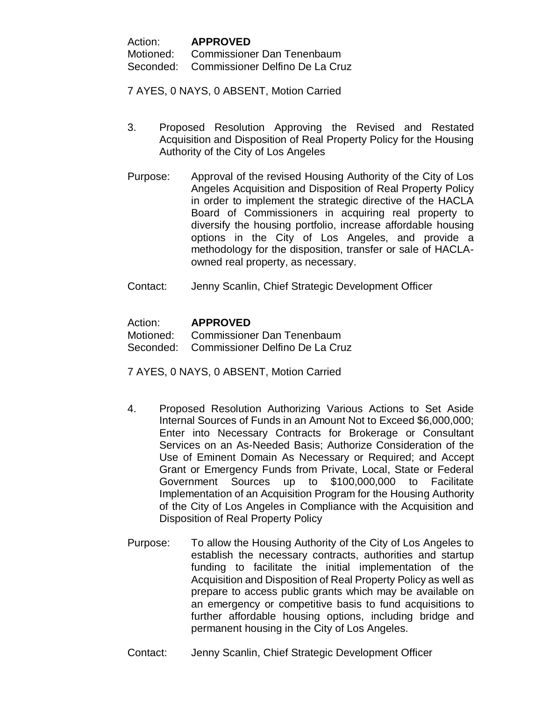| Action:   | <b>APPROVED</b>                   |
|-----------|-----------------------------------|
| Motioned: | <b>Commissioner Dan Tenenbaum</b> |

Seconded: Commissioner Delfino De La Cruz

7 AYES, 0 NAYS, 0 ABSENT, Motion Carried

- 3. Proposed Resolution Approving the Revised and Restated Acquisition and Disposition of Real Property Policy for the Housing Authority of the City of Los Angeles
- Purpose: Approval of the revised Housing Authority of the City of Los Angeles Acquisition and Disposition of Real Property Policy in order to implement the strategic directive of the HACLA Board of Commissioners in acquiring real property to diversify the housing portfolio, increase affordable housing options in the City of Los Angeles, and provide a methodology for the disposition, transfer or sale of HACLAowned real property, as necessary.
- Contact: Jenny Scanlin, Chief Strategic Development Officer

# Action: **APPROVED**

Motioned: Commissioner Dan Tenenbaum Seconded: Commissioner Delfino De La Cruz

7 AYES, 0 NAYS, 0 ABSENT, Motion Carried

- 4. Proposed Resolution Authorizing Various Actions to Set Aside Internal Sources of Funds in an Amount Not to Exceed \$6,000,000; Enter into Necessary Contracts for Brokerage or Consultant Services on an As-Needed Basis; Authorize Consideration of the Use of Eminent Domain As Necessary or Required; and Accept Grant or Emergency Funds from Private, Local, State or Federal Government Sources up to \$100,000,000 to Facilitate Implementation of an Acquisition Program for the Housing Authority of the City of Los Angeles in Compliance with the Acquisition and Disposition of Real Property Policy
- Purpose: To allow the Housing Authority of the City of Los Angeles to establish the necessary contracts, authorities and startup funding to facilitate the initial implementation of the Acquisition and Disposition of Real Property Policy as well as prepare to access public grants which may be available on an emergency or competitive basis to fund acquisitions to further affordable housing options, including bridge and permanent housing in the City of Los Angeles.
- Contact: Jenny Scanlin, Chief Strategic Development Officer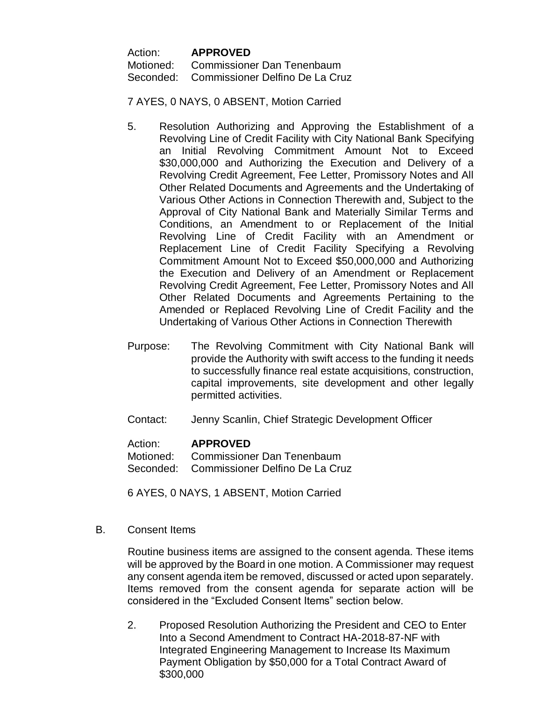Action: **APPROVED** Motioned: Commissioner Dan Tenenbaum Seconded: Commissioner Delfino De La Cruz

7 AYES, 0 NAYS, 0 ABSENT, Motion Carried

- 5. Resolution Authorizing and Approving the Establishment of a Revolving Line of Credit Facility with City National Bank Specifying an Initial Revolving Commitment Amount Not to Exceed \$30,000,000 and Authorizing the Execution and Delivery of a Revolving Credit Agreement, Fee Letter, Promissory Notes and All Other Related Documents and Agreements and the Undertaking of Various Other Actions in Connection Therewith and, Subject to the Approval of City National Bank and Materially Similar Terms and Conditions, an Amendment to or Replacement of the Initial Revolving Line of Credit Facility with an Amendment or Replacement Line of Credit Facility Specifying a Revolving Commitment Amount Not to Exceed \$50,000,000 and Authorizing the Execution and Delivery of an Amendment or Replacement Revolving Credit Agreement, Fee Letter, Promissory Notes and All Other Related Documents and Agreements Pertaining to the Amended or Replaced Revolving Line of Credit Facility and the Undertaking of Various Other Actions in Connection Therewith
- Purpose: The Revolving Commitment with City National Bank will provide the Authority with swift access to the funding it needs to successfully finance real estate acquisitions, construction, capital improvements, site development and other legally permitted activities.
- Contact: Jenny Scanlin, Chief Strategic Development Officer

#### Action: **APPROVED**

Motioned: Commissioner Dan Tenenbaum Seconded: Commissioner Delfino De La Cruz

6 AYES, 0 NAYS, 1 ABSENT, Motion Carried

B. Consent Items

Routine business items are assigned to the consent agenda. These items will be approved by the Board in one motion. A Commissioner may request any consent agenda item be removed, discussed or acted upon separately. Items removed from the consent agenda for separate action will be considered in the "Excluded Consent Items" section below.

2. Proposed Resolution Authorizing the President and CEO to Enter Into a Second Amendment to Contract HA-2018-87-NF with Integrated Engineering Management to Increase Its Maximum Payment Obligation by \$50,000 for a Total Contract Award of \$300,000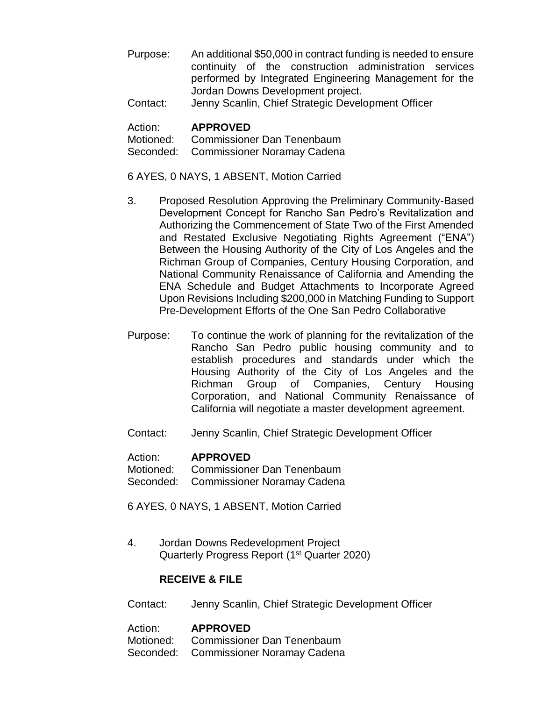- Purpose: An additional \$50,000 in contract funding is needed to ensure continuity of the construction administration services performed by Integrated Engineering Management for the Jordan Downs Development project.
- Contact: Jenny Scanlin, Chief Strategic Development Officer

## Action: **APPROVED**

Motioned: Commissioner Dan Tenenbaum Seconded: Commissioner Noramay Cadena

## 6 AYES, 0 NAYS, 1 ABSENT, Motion Carried

- 3. Proposed Resolution Approving the Preliminary Community-Based Development Concept for Rancho San Pedro's Revitalization and Authorizing the Commencement of State Two of the First Amended and Restated Exclusive Negotiating Rights Agreement ("ENA") Between the Housing Authority of the City of Los Angeles and the Richman Group of Companies, Century Housing Corporation, and National Community Renaissance of California and Amending the ENA Schedule and Budget Attachments to Incorporate Agreed Upon Revisions Including \$200,000 in Matching Funding to Support Pre-Development Efforts of the One San Pedro Collaborative
- Purpose: To continue the work of planning for the revitalization of the Rancho San Pedro public housing community and to establish procedures and standards under which the Housing Authority of the City of Los Angeles and the Richman Group of Companies, Century Housing Corporation, and National Community Renaissance of California will negotiate a master development agreement.
- Contact: Jenny Scanlin, Chief Strategic Development Officer

#### Action: **APPROVED**

Motioned: Commissioner Dan Tenenbaum Seconded: Commissioner Noramay Cadena

6 AYES, 0 NAYS, 1 ABSENT, Motion Carried

4. Jordan Downs Redevelopment Project Quarterly Progress Report (1<sup>st</sup> Quarter 2020)

# **RECEIVE & FILE**

Contact: Jenny Scanlin, Chief Strategic Development Officer

Action: **APPROVED** Motioned: Commissioner Dan Tenenbaum Seconded: Commissioner Noramay Cadena